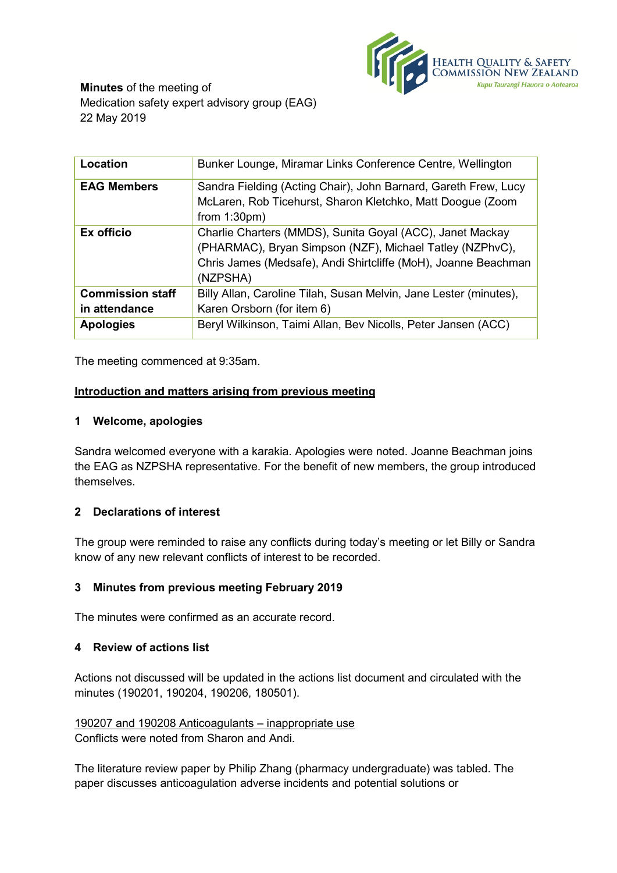

**Minutes** of the meeting of Medication safety expert advisory group (EAG) 22 May 2019

| Location                | Bunker Lounge, Miramar Links Conference Centre, Wellington                                                                                                                                          |
|-------------------------|-----------------------------------------------------------------------------------------------------------------------------------------------------------------------------------------------------|
| <b>EAG Members</b>      | Sandra Fielding (Acting Chair), John Barnard, Gareth Frew, Lucy<br>McLaren, Rob Ticehurst, Sharon Kletchko, Matt Doogue (Zoom                                                                       |
|                         | from $1:30 \text{pm}$ )                                                                                                                                                                             |
| Ex officio              | Charlie Charters (MMDS), Sunita Goyal (ACC), Janet Mackay<br>(PHARMAC), Bryan Simpson (NZF), Michael Tatley (NZPhvC),<br>Chris James (Medsafe), Andi Shirtcliffe (MoH), Joanne Beachman<br>(NZPSHA) |
| <b>Commission staff</b> | Billy Allan, Caroline Tilah, Susan Melvin, Jane Lester (minutes),                                                                                                                                   |
| in attendance           | Karen Orsborn (for item 6)                                                                                                                                                                          |
| <b>Apologies</b>        | Beryl Wilkinson, Taimi Allan, Bev Nicolls, Peter Jansen (ACC)                                                                                                                                       |

The meeting commenced at 9:35am.

### **Introduction and matters arising from previous meeting**

### **1 Welcome, apologies**

Sandra welcomed everyone with a karakia. Apologies were noted. Joanne Beachman joins the EAG as NZPSHA representative. For the benefit of new members, the group introduced themselves.

### **2 Declarations of interest**

The group were reminded to raise any conflicts during today's meeting or let Billy or Sandra know of any new relevant conflicts of interest to be recorded.

### **3 Minutes from previous meeting February 2019**

The minutes were confirmed as an accurate record.

## **4 Review of actions list**

Actions not discussed will be updated in the actions list document and circulated with the minutes (190201, 190204, 190206, 180501).

190207 and 190208 Anticoagulants – inappropriate use Conflicts were noted from Sharon and Andi.

The literature review paper by Philip Zhang (pharmacy undergraduate) was tabled. The paper discusses anticoagulation adverse incidents and potential solutions or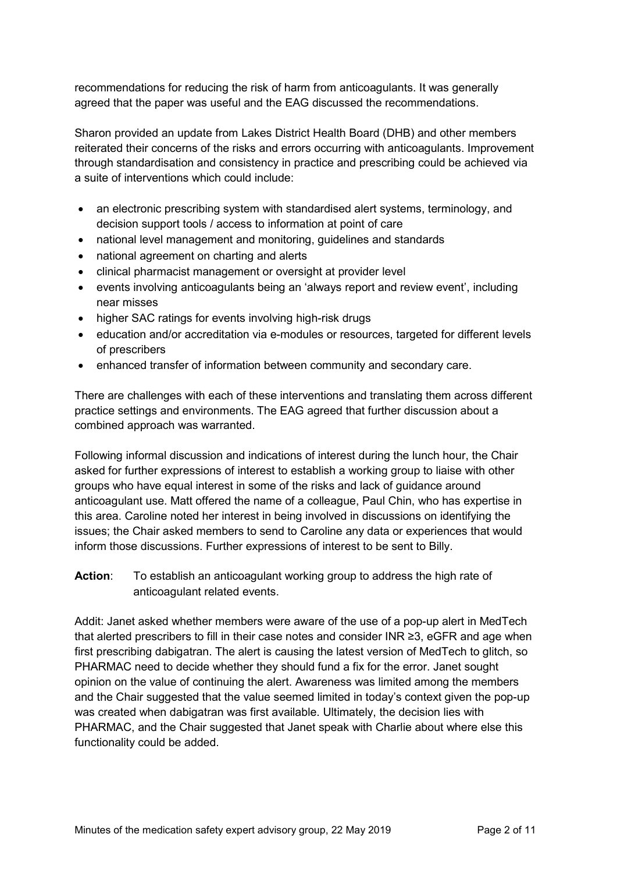recommendations for reducing the risk of harm from anticoagulants. It was generally agreed that the paper was useful and the EAG discussed the recommendations.

Sharon provided an update from Lakes District Health Board (DHB) and other members reiterated their concerns of the risks and errors occurring with anticoagulants. Improvement through standardisation and consistency in practice and prescribing could be achieved via a suite of interventions which could include:

- an electronic prescribing system with standardised alert systems, terminology, and decision support tools / access to information at point of care
- national level management and monitoring, guidelines and standards
- national agreement on charting and alerts
- clinical pharmacist management or oversight at provider level
- events involving anticoagulants being an 'always report and review event', including near misses
- higher SAC ratings for events involving high-risk drugs
- education and/or accreditation via e-modules or resources, targeted for different levels of prescribers
- enhanced transfer of information between community and secondary care.

There are challenges with each of these interventions and translating them across different practice settings and environments. The EAG agreed that further discussion about a combined approach was warranted.

Following informal discussion and indications of interest during the lunch hour, the Chair asked for further expressions of interest to establish a working group to liaise with other groups who have equal interest in some of the risks and lack of guidance around anticoagulant use. Matt offered the name of a colleague, Paul Chin, who has expertise in this area. Caroline noted her interest in being involved in discussions on identifying the issues; the Chair asked members to send to Caroline any data or experiences that would inform those discussions. Further expressions of interest to be sent to Billy.

**Action**: To establish an anticoagulant working group to address the high rate of anticoagulant related events.

Addit: Janet asked whether members were aware of the use of a pop-up alert in MedTech that alerted prescribers to fill in their case notes and consider INR ≥3, eGFR and age when first prescribing dabigatran. The alert is causing the latest version of MedTech to glitch, so PHARMAC need to decide whether they should fund a fix for the error. Janet sought opinion on the value of continuing the alert. Awareness was limited among the members and the Chair suggested that the value seemed limited in today's context given the pop-up was created when dabigatran was first available. Ultimately, the decision lies with PHARMAC, and the Chair suggested that Janet speak with Charlie about where else this functionality could be added.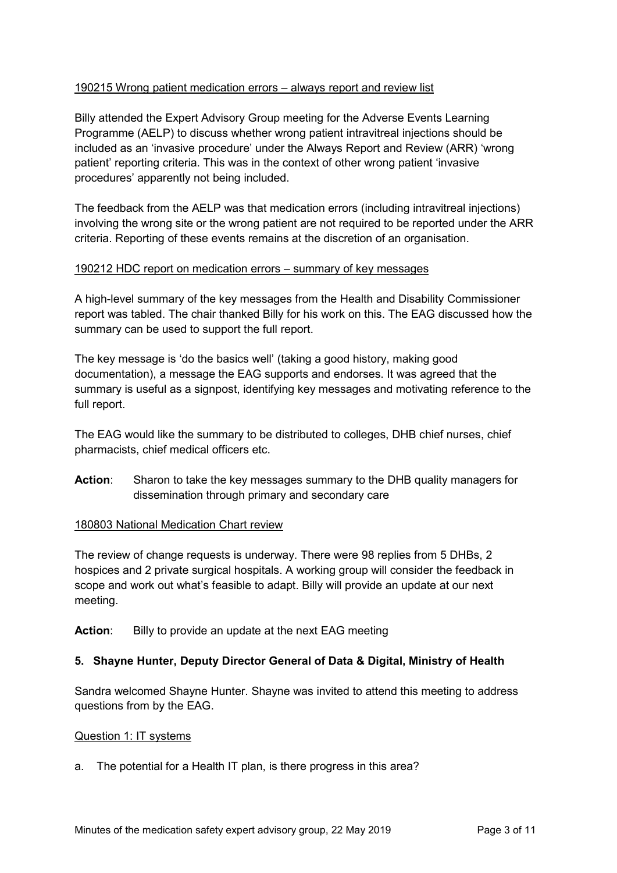### 190215 Wrong patient medication errors – always report and review list

Billy attended the Expert Advisory Group meeting for the Adverse Events Learning Programme (AELP) to discuss whether wrong patient intravitreal injections should be included as an 'invasive procedure' under the Always Report and Review (ARR) 'wrong patient' reporting criteria. This was in the context of other wrong patient 'invasive procedures' apparently not being included.

The feedback from the AELP was that medication errors (including intravitreal injections) involving the wrong site or the wrong patient are not required to be reported under the ARR criteria. Reporting of these events remains at the discretion of an organisation.

### 190212 HDC report on medication errors – summary of key messages

A high-level summary of the key messages from the Health and Disability Commissioner report was tabled. The chair thanked Billy for his work on this. The EAG discussed how the summary can be used to support the full report.

The key message is 'do the basics well' (taking a good history, making good documentation), a message the EAG supports and endorses. It was agreed that the summary is useful as a signpost, identifying key messages and motivating reference to the full report.

The EAG would like the summary to be distributed to colleges, DHB chief nurses, chief pharmacists, chief medical officers etc.

**Action**: Sharon to take the key messages summary to the DHB quality managers for dissemination through primary and secondary care

### 180803 National Medication Chart review

The review of change requests is underway. There were 98 replies from 5 DHBs, 2 hospices and 2 private surgical hospitals. A working group will consider the feedback in scope and work out what's feasible to adapt. Billy will provide an update at our next meeting.

**Action:** Billy to provide an update at the next EAG meeting

### **5. Shayne Hunter, Deputy Director General of Data & Digital, Ministry of Health**

Sandra welcomed Shayne Hunter. Shayne was invited to attend this meeting to address questions from by the EAG.

#### Question 1: IT systems

a. The potential for a Health IT plan, is there progress in this area?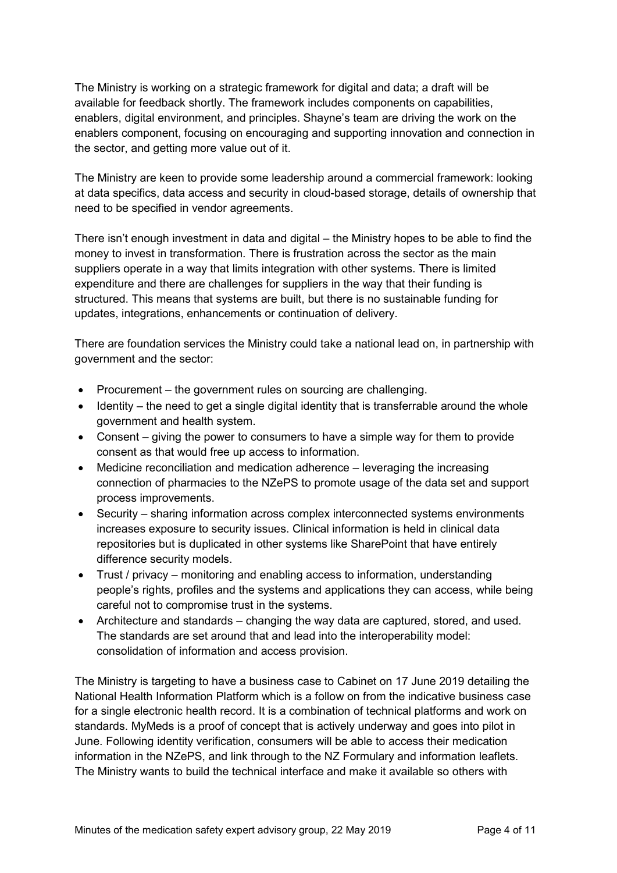The Ministry is working on a strategic framework for digital and data; a draft will be available for feedback shortly. The framework includes components on capabilities, enablers, digital environment, and principles. Shayne's team are driving the work on the enablers component, focusing on encouraging and supporting innovation and connection in the sector, and getting more value out of it.

The Ministry are keen to provide some leadership around a commercial framework: looking at data specifics, data access and security in cloud-based storage, details of ownership that need to be specified in vendor agreements.

There isn't enough investment in data and digital – the Ministry hopes to be able to find the money to invest in transformation. There is frustration across the sector as the main suppliers operate in a way that limits integration with other systems. There is limited expenditure and there are challenges for suppliers in the way that their funding is structured. This means that systems are built, but there is no sustainable funding for updates, integrations, enhancements or continuation of delivery.

There are foundation services the Ministry could take a national lead on, in partnership with government and the sector:

- Procurement the government rules on sourcing are challenging.
- Identity the need to get a single digital identity that is transferrable around the whole government and health system.
- Consent giving the power to consumers to have a simple way for them to provide consent as that would free up access to information.
- Medicine reconciliation and medication adherence leveraging the increasing connection of pharmacies to the NZePS to promote usage of the data set and support process improvements.
- Security sharing information across complex interconnected systems environments increases exposure to security issues. Clinical information is held in clinical data repositories but is duplicated in other systems like SharePoint that have entirely difference security models.
- Trust / privacy monitoring and enabling access to information, understanding people's rights, profiles and the systems and applications they can access, while being careful not to compromise trust in the systems.
- Architecture and standards changing the way data are captured, stored, and used. The standards are set around that and lead into the interoperability model: consolidation of information and access provision.

The Ministry is targeting to have a business case to Cabinet on 17 June 2019 detailing the National Health Information Platform which is a follow on from the indicative business case for a single electronic health record. It is a combination of technical platforms and work on standards. MyMeds is a proof of concept that is actively underway and goes into pilot in June. Following identity verification, consumers will be able to access their medication information in the NZePS, and link through to the NZ Formulary and information leaflets. The Ministry wants to build the technical interface and make it available so others with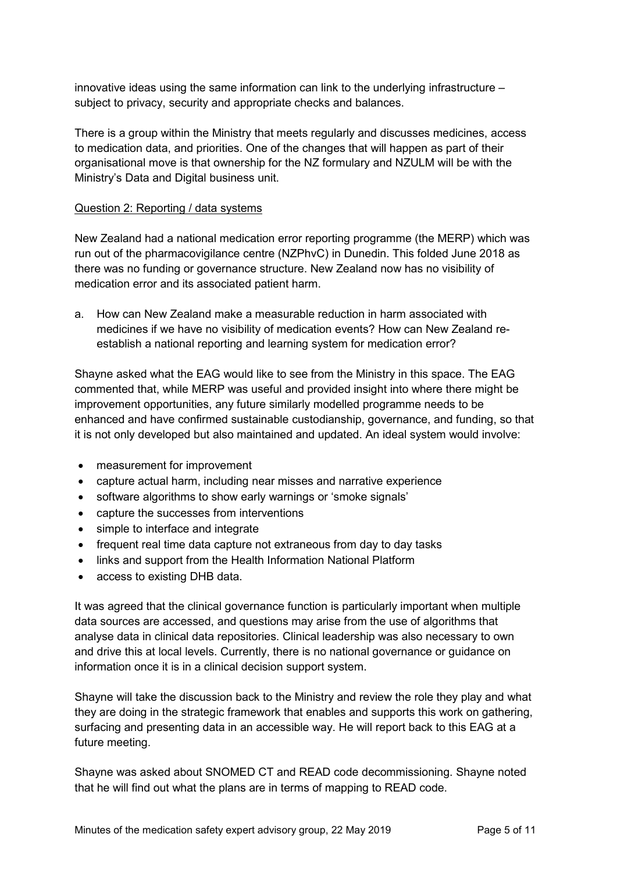innovative ideas using the same information can link to the underlying infrastructure – subject to privacy, security and appropriate checks and balances.

There is a group within the Ministry that meets regularly and discusses medicines, access to medication data, and priorities. One of the changes that will happen as part of their organisational move is that ownership for the NZ formulary and NZULM will be with the Ministry's Data and Digital business unit.

### Question 2: Reporting / data systems

New Zealand had a national medication error reporting programme (the MERP) which was run out of the pharmacovigilance centre (NZPhvC) in Dunedin. This folded June 2018 as there was no funding or governance structure. New Zealand now has no visibility of medication error and its associated patient harm.

a. How can New Zealand make a measurable reduction in harm associated with medicines if we have no visibility of medication events? How can New Zealand reestablish a national reporting and learning system for medication error?

Shayne asked what the EAG would like to see from the Ministry in this space. The EAG commented that, while MERP was useful and provided insight into where there might be improvement opportunities, any future similarly modelled programme needs to be enhanced and have confirmed sustainable custodianship, governance, and funding, so that it is not only developed but also maintained and updated. An ideal system would involve:

- measurement for improvement
- capture actual harm, including near misses and narrative experience
- software algorithms to show early warnings or 'smoke signals'
- capture the successes from interventions
- simple to interface and integrate
- frequent real time data capture not extraneous from day to day tasks
- links and support from the Health Information National Platform
- access to existing DHB data.

It was agreed that the clinical governance function is particularly important when multiple data sources are accessed, and questions may arise from the use of algorithms that analyse data in clinical data repositories. Clinical leadership was also necessary to own and drive this at local levels. Currently, there is no national governance or guidance on information once it is in a clinical decision support system.

Shayne will take the discussion back to the Ministry and review the role they play and what they are doing in the strategic framework that enables and supports this work on gathering, surfacing and presenting data in an accessible way. He will report back to this EAG at a future meeting.

Shayne was asked about SNOMED CT and READ code decommissioning. Shayne noted that he will find out what the plans are in terms of mapping to READ code.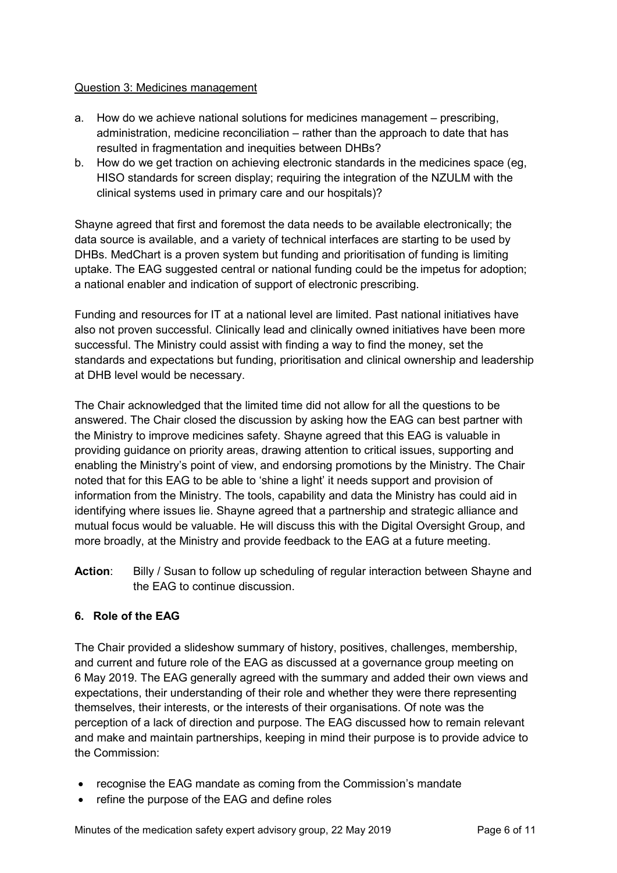## Question 3: Medicines management

- a. How do we achieve national solutions for medicines management prescribing, administration, medicine reconciliation – rather than the approach to date that has resulted in fragmentation and inequities between DHBs?
- b. How do we get traction on achieving electronic standards in the medicines space (eg, HISO standards for screen display; requiring the integration of the NZULM with the clinical systems used in primary care and our hospitals)?

Shayne agreed that first and foremost the data needs to be available electronically; the data source is available, and a variety of technical interfaces are starting to be used by DHBs. MedChart is a proven system but funding and prioritisation of funding is limiting uptake. The EAG suggested central or national funding could be the impetus for adoption; a national enabler and indication of support of electronic prescribing.

Funding and resources for IT at a national level are limited. Past national initiatives have also not proven successful. Clinically lead and clinically owned initiatives have been more successful. The Ministry could assist with finding a way to find the money, set the standards and expectations but funding, prioritisation and clinical ownership and leadership at DHB level would be necessary.

The Chair acknowledged that the limited time did not allow for all the questions to be answered. The Chair closed the discussion by asking how the EAG can best partner with the Ministry to improve medicines safety. Shayne agreed that this EAG is valuable in providing guidance on priority areas, drawing attention to critical issues, supporting and enabling the Ministry's point of view, and endorsing promotions by the Ministry. The Chair noted that for this EAG to be able to 'shine a light' it needs support and provision of information from the Ministry. The tools, capability and data the Ministry has could aid in identifying where issues lie. Shayne agreed that a partnership and strategic alliance and mutual focus would be valuable. He will discuss this with the Digital Oversight Group, and more broadly, at the Ministry and provide feedback to the EAG at a future meeting.

Action: Billy / Susan to follow up scheduling of regular interaction between Shayne and the EAG to continue discussion.

# **6. Role of the EAG**

The Chair provided a slideshow summary of history, positives, challenges, membership, and current and future role of the EAG as discussed at a governance group meeting on 6 May 2019. The EAG generally agreed with the summary and added their own views and expectations, their understanding of their role and whether they were there representing themselves, their interests, or the interests of their organisations. Of note was the perception of a lack of direction and purpose. The EAG discussed how to remain relevant and make and maintain partnerships, keeping in mind their purpose is to provide advice to the Commission:

- recognise the EAG mandate as coming from the Commission's mandate
- refine the purpose of the EAG and define roles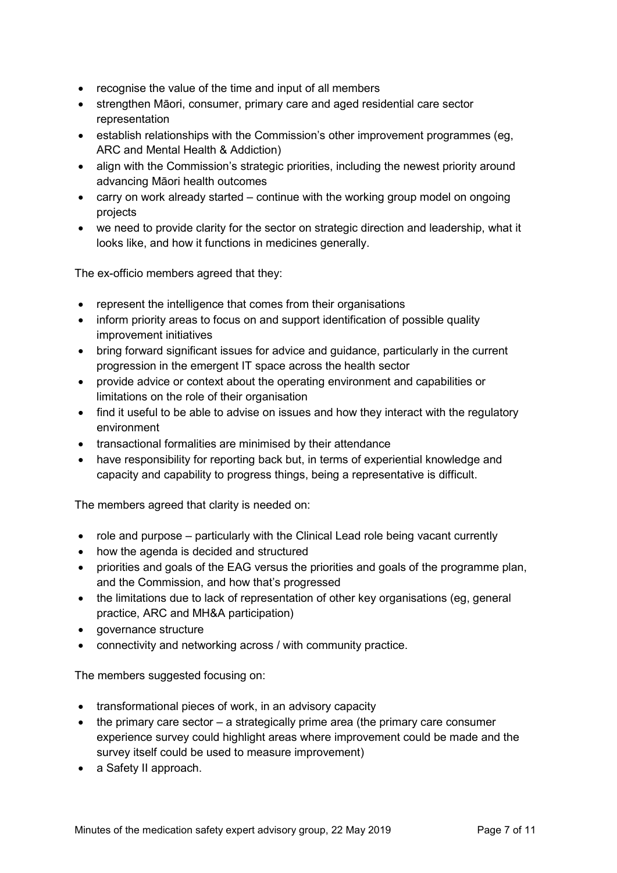- recognise the value of the time and input of all members
- strengthen Māori, consumer, primary care and aged residential care sector representation
- establish relationships with the Commission's other improvement programmes (eg, ARC and Mental Health & Addiction)
- align with the Commission's strategic priorities, including the newest priority around advancing Māori health outcomes
- carry on work already started continue with the working group model on ongoing projects
- we need to provide clarity for the sector on strategic direction and leadership, what it looks like, and how it functions in medicines generally.

The ex-officio members agreed that they:

- represent the intelligence that comes from their organisations
- inform priority areas to focus on and support identification of possible quality improvement initiatives
- bring forward significant issues for advice and guidance, particularly in the current progression in the emergent IT space across the health sector
- provide advice or context about the operating environment and capabilities or limitations on the role of their organisation
- find it useful to be able to advise on issues and how they interact with the regulatory environment
- transactional formalities are minimised by their attendance
- have responsibility for reporting back but, in terms of experiential knowledge and capacity and capability to progress things, being a representative is difficult.

The members agreed that clarity is needed on:

- role and purpose particularly with the Clinical Lead role being vacant currently
- how the agenda is decided and structured
- priorities and goals of the EAG versus the priorities and goals of the programme plan, and the Commission, and how that's progressed
- the limitations due to lack of representation of other key organisations (eg, general practice, ARC and MH&A participation)
- governance structure
- connectivity and networking across / with community practice.

The members suggested focusing on:

- transformational pieces of work, in an advisory capacity
- the primary care sector a strategically prime area (the primary care consumer experience survey could highlight areas where improvement could be made and the survey itself could be used to measure improvement)
- a Safety II approach.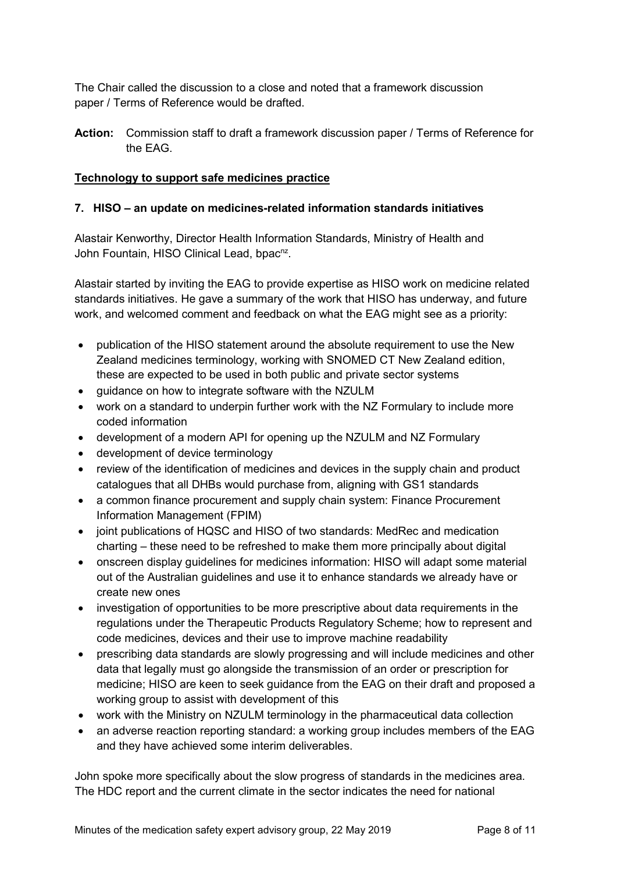The Chair called the discussion to a close and noted that a framework discussion paper / Terms of Reference would be drafted.

**Action:** Commission staff to draft a framework discussion paper / Terms of Reference for the EAG.

### **Technology to support safe medicines practice**

### **7. HISO – an update on medicines-related information standards initiatives**

Alastair Kenworthy, Director Health Information Standards, Ministry of Health and John Fountain, HISO Clinical Lead, bpac<sup>nz</sup>.

Alastair started by inviting the EAG to provide expertise as HISO work on medicine related standards initiatives. He gave a summary of the work that HISO has underway, and future work, and welcomed comment and feedback on what the EAG might see as a priority:

- publication of the HISO statement around the absolute requirement to use the New Zealand medicines terminology, working with SNOMED CT New Zealand edition, these are expected to be used in both public and private sector systems
- guidance on how to integrate software with the NZULM
- work on a standard to underpin further work with the NZ Formulary to include more coded information
- development of a modern API for opening up the NZULM and NZ Formulary
- development of device terminology
- review of the identification of medicines and devices in the supply chain and product catalogues that all DHBs would purchase from, aligning with GS1 standards
- a common finance procurement and supply chain system: Finance Procurement Information Management (FPIM)
- joint publications of HQSC and HISO of two standards: MedRec and medication charting – these need to be refreshed to make them more principally about digital
- onscreen display guidelines for medicines information: HISO will adapt some material out of the Australian guidelines and use it to enhance standards we already have or create new ones
- investigation of opportunities to be more prescriptive about data requirements in the regulations under the Therapeutic Products Regulatory Scheme; how to represent and code medicines, devices and their use to improve machine readability
- prescribing data standards are slowly progressing and will include medicines and other data that legally must go alongside the transmission of an order or prescription for medicine; HISO are keen to seek guidance from the EAG on their draft and proposed a working group to assist with development of this
- work with the Ministry on NZULM terminology in the pharmaceutical data collection
- an adverse reaction reporting standard: a working group includes members of the EAG and they have achieved some interim deliverables.

John spoke more specifically about the slow progress of standards in the medicines area. The HDC report and the current climate in the sector indicates the need for national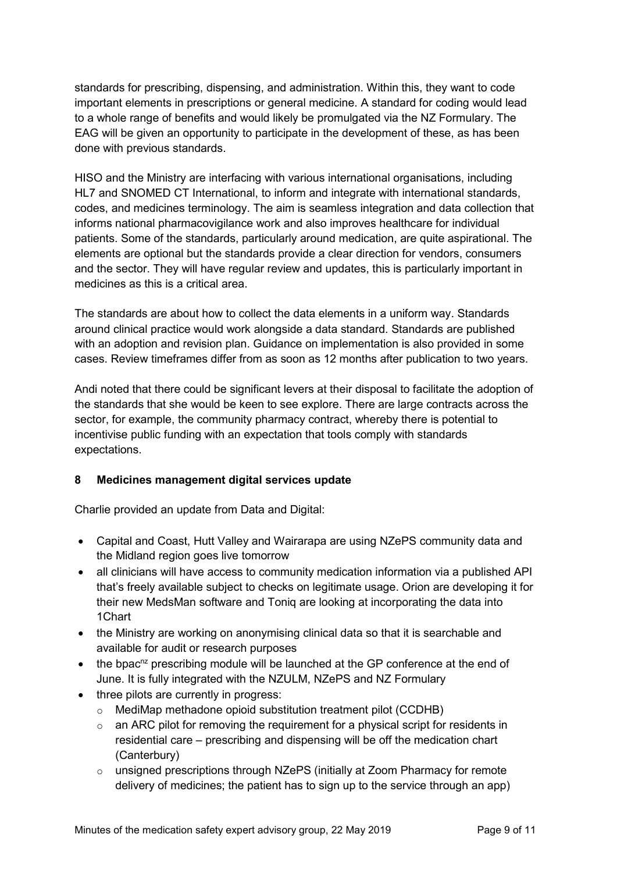standards for prescribing, dispensing, and administration. Within this, they want to code important elements in prescriptions or general medicine. A standard for coding would lead to a whole range of benefits and would likely be promulgated via the NZ Formulary. The EAG will be given an opportunity to participate in the development of these, as has been done with previous standards.

HISO and the Ministry are interfacing with various international organisations, including HL7 and SNOMED CT International, to inform and integrate with international standards, codes, and medicines terminology. The aim is seamless integration and data collection that informs national pharmacovigilance work and also improves healthcare for individual patients. Some of the standards, particularly around medication, are quite aspirational. The elements are optional but the standards provide a clear direction for vendors, consumers and the sector. They will have regular review and updates, this is particularly important in medicines as this is a critical area.

The standards are about how to collect the data elements in a uniform way. Standards around clinical practice would work alongside a data standard. Standards are published with an adoption and revision plan. Guidance on implementation is also provided in some cases. Review timeframes differ from as soon as 12 months after publication to two years.

Andi noted that there could be significant levers at their disposal to facilitate the adoption of the standards that she would be keen to see explore. There are large contracts across the sector, for example, the community pharmacy contract, whereby there is potential to incentivise public funding with an expectation that tools comply with standards expectations.

### **8 Medicines management digital services update**

Charlie provided an update from Data and Digital:

- Capital and Coast, Hutt Valley and Wairarapa are using NZePS community data and the Midland region goes live tomorrow
- all clinicians will have access to community medication information via a published API that's freely available subject to checks on legitimate usage. Orion are developing it for their new MedsMan software and Toniq are looking at incorporating the data into 1Chart
- the Ministry are working on anonymising clinical data so that it is searchable and available for audit or research purposes
- $\bullet$  the bpac<sup>nz</sup> prescribing module will be launched at the GP conference at the end of June. It is fully integrated with the NZULM, NZePS and NZ Formulary
- three pilots are currently in progress:
	- o MediMap methadone opioid substitution treatment pilot (CCDHB)
	- $\circ$  an ARC pilot for removing the requirement for a physical script for residents in residential care – prescribing and dispensing will be off the medication chart (Canterbury)
	- o unsigned prescriptions through NZePS (initially at Zoom Pharmacy for remote delivery of medicines; the patient has to sign up to the service through an app)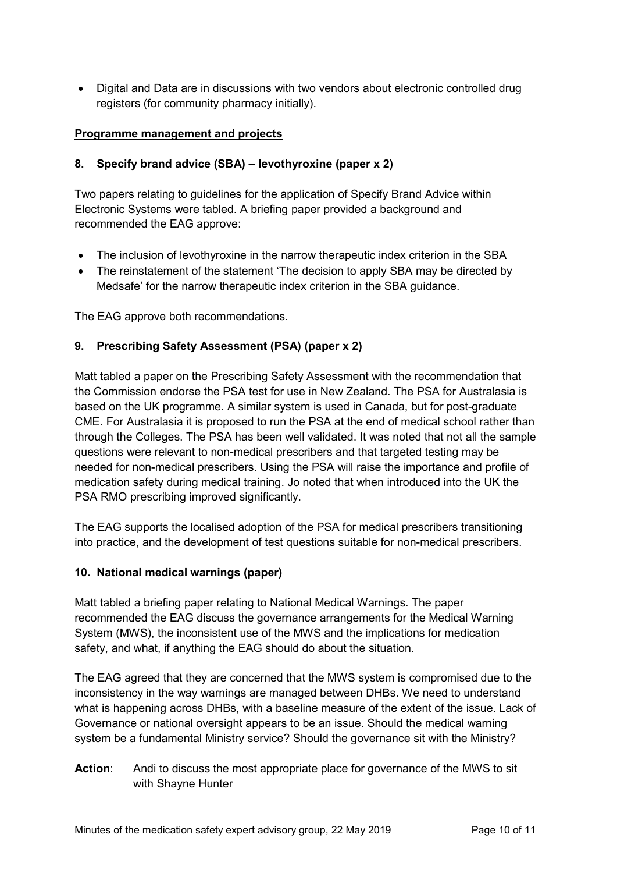• Digital and Data are in discussions with two vendors about electronic controlled drug registers (for community pharmacy initially).

## **Programme management and projects**

# **8. Specify brand advice (SBA) – levothyroxine (paper x 2)**

Two papers relating to guidelines for the application of Specify Brand Advice within Electronic Systems were tabled. A briefing paper provided a background and recommended the EAG approve:

- The inclusion of levothyroxine in the narrow therapeutic index criterion in the SBA
- The reinstatement of the statement 'The decision to apply SBA may be directed by Medsafe' for the narrow therapeutic index criterion in the SBA guidance.

The EAG approve both recommendations.

# **9. Prescribing Safety Assessment (PSA) (paper x 2)**

Matt tabled a paper on the Prescribing Safety Assessment with the recommendation that the Commission endorse the PSA test for use in New Zealand. The PSA for Australasia is based on the UK programme. A similar system is used in Canada, but for post-graduate CME. For Australasia it is proposed to run the PSA at the end of medical school rather than through the Colleges. The PSA has been well validated. It was noted that not all the sample questions were relevant to non-medical prescribers and that targeted testing may be needed for non-medical prescribers. Using the PSA will raise the importance and profile of medication safety during medical training. Jo noted that when introduced into the UK the PSA RMO prescribing improved significantly.

The EAG supports the localised adoption of the PSA for medical prescribers transitioning into practice, and the development of test questions suitable for non-medical prescribers.

### **10. National medical warnings (paper)**

Matt tabled a briefing paper relating to National Medical Warnings. The paper recommended the EAG discuss the governance arrangements for the Medical Warning System (MWS), the inconsistent use of the MWS and the implications for medication safety, and what, if anything the EAG should do about the situation.

The EAG agreed that they are concerned that the MWS system is compromised due to the inconsistency in the way warnings are managed between DHBs. We need to understand what is happening across DHBs, with a baseline measure of the extent of the issue. Lack of Governance or national oversight appears to be an issue. Should the medical warning system be a fundamental Ministry service? Should the governance sit with the Ministry?

**Action**: Andi to discuss the most appropriate place for governance of the MWS to sit with Shayne Hunter